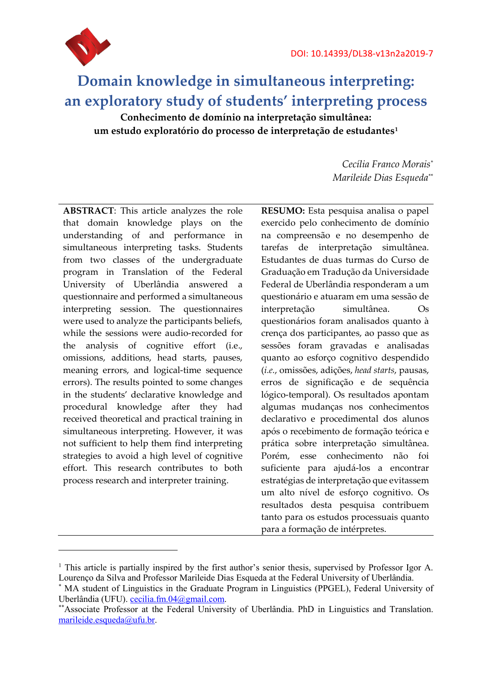

# **Domain knowledge in simultaneous interpreting: an exploratory study of students' interpreting process**

**Conhecimento de domínio na interpretação simultânea: um estudo exploratório do processo de interpretação de estudantes[1](#page-0-0)**

> *Cecília Franco Morais*[\\*](#page-0-1) *Marileide Dias Esqueda*[\\*\\*](#page-0-2)

**ABSTRACT**: This article analyzes the role that domain knowledge plays on the understanding of and performance in simultaneous interpreting tasks. Students from two classes of the undergraduate program in Translation of the Federal University of Uberlândia answered a questionnaire and performed a simultaneous interpreting session. The questionnaires were used to analyze the participants beliefs, while the sessions were audio-recorded for the analysis of cognitive effort (i.e., omissions, additions, head starts, pauses, meaning errors, and logical-time sequence errors). The results pointed to some changes in the students' declarative knowledge and procedural knowledge after they had received theoretical and practical training in simultaneous interpreting. However, it was not sufficient to help them find interpreting strategies to avoid a high level of cognitive effort. This research contributes to both process research and interpreter training.

**RESUMO:** Esta pesquisa analisa o papel exercido pelo conhecimento de domínio na compreensão e no desempenho de tarefas de interpretação simultânea. Estudantes de duas turmas do Curso de Graduação em Tradução da Universidade Federal de Uberlândia responderam a um questionário e atuaram em uma sessão de interpretação simultânea. Os questionários foram analisados quanto à crença dos participantes, ao passo que as sessões foram gravadas e analisadas quanto ao esforço cognitivo despendido (*i.e.*, omissões, adições, *head starts*, pausas, erros de significação e de sequência lógico-temporal). Os resultados apontam algumas mudanças nos conhecimentos declarativo e procedimental dos alunos após o recebimento de formação teórica e prática sobre interpretação simultânea. Porém, esse conhecimento não foi suficiente para ajudá-los a encontrar estratégias de interpretação que evitassem um alto nível de esforço cognitivo. Os resultados desta pesquisa contribuem tanto para os estudos processuais quanto para a formação de intérpretes.

<span id="page-0-0"></span><sup>&</sup>lt;sup>1</sup> This article is partially inspired by the first author's senior thesis, supervised by Professor Igor A. Lourenço da Silva and Professor Marileide Dias Esqueda at the Federal University of Uberlândia.

<span id="page-0-1"></span>MA student of Linguistics in the Graduate Program in Linguistics (PPGEL), Federal University of Uberlândia (UFU). [cecilia.fm.04@gmail.com.](mailto:Cecilia.fm.04@gmail.com)<br>\*\*Associate Professor at the Federal University of Uberlândia. PhD in Linguistics and Translation.

<span id="page-0-2"></span>[marileide.esqueda@ufu.br.](mailto:marileide.esqueda@ufu.br)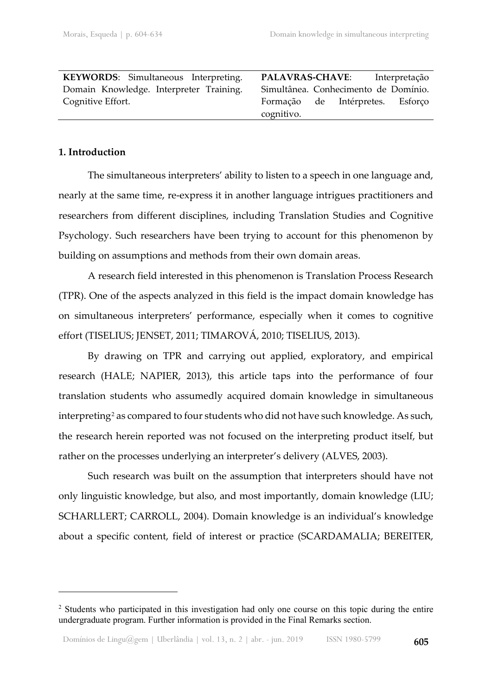**KEYWORDS**: Simultaneous Interpreting. Domain Knowledge. Interpreter Training. Cognitive Effort.

**PALAVRAS-CHAVE**: Interpretação Simultânea. Conhecimento de Domínio. Formação de Intérpretes. Esforço cognitivo.

# **1. Introduction**

<u>.</u>

The simultaneous interpreters' ability to listen to a speech in one language and, nearly at the same time, re-express it in another language intrigues practitioners and researchers from different disciplines, including Translation Studies and Cognitive Psychology. Such researchers have been trying to account for this phenomenon by building on assumptions and methods from their own domain areas.

A research field interested in this phenomenon is Translation Process Research (TPR). One of the aspects analyzed in this field is the impact domain knowledge has on simultaneous interpreters' performance, especially when it comes to cognitive effort (TISELIUS; JENSET, 2011; TIMAROVÁ, 2010; TISELIUS, 2013).

By drawing on TPR and carrying out applied, exploratory, and empirical research (HALE; NAPIER, 2013), this article taps into the performance of four translation students who assumedly acquired domain knowledge in simultaneous interpreting<sup>[2](#page-1-0)</sup> as compared to four students who did not have such knowledge. As such, the research herein reported was not focused on the interpreting product itself, but rather on the processes underlying an interpreter's delivery (ALVES, 2003).

Such research was built on the assumption that interpreters should have not only linguistic knowledge, but also, and most importantly, domain knowledge (LIU; SCHARLLERT; CARROLL, 2004). Domain knowledge is an individual's knowledge about a specific content, field of interest or practice (SCARDAMALIA; BEREITER,

<span id="page-1-0"></span><sup>&</sup>lt;sup>2</sup> Students who participated in this investigation had only one course on this topic during the entire undergraduate program. Further information is provided in the Final Remarks section.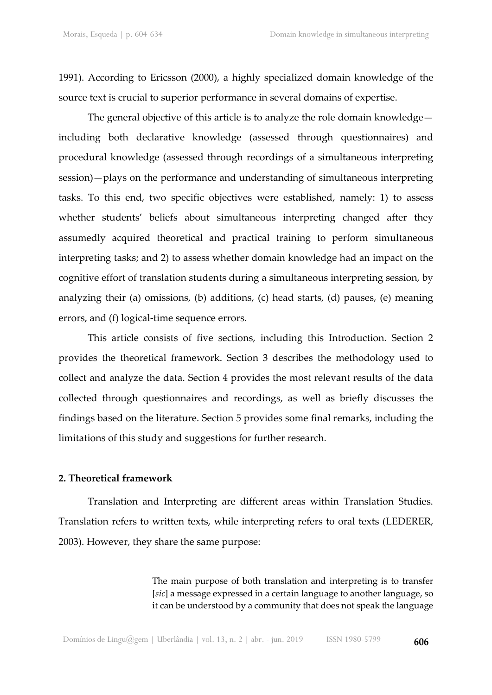1991). According to Ericsson (2000), a highly specialized domain knowledge of the source text is crucial to superior performance in several domains of expertise.

The general objective of this article is to analyze the role domain knowledge including both declarative knowledge (assessed through questionnaires) and procedural knowledge (assessed through recordings of a simultaneous interpreting session)—plays on the performance and understanding of simultaneous interpreting tasks. To this end, two specific objectives were established, namely: 1) to assess whether students' beliefs about simultaneous interpreting changed after they assumedly acquired theoretical and practical training to perform simultaneous interpreting tasks; and 2) to assess whether domain knowledge had an impact on the cognitive effort of translation students during a simultaneous interpreting session, by analyzing their (a) omissions, (b) additions, (c) head starts, (d) pauses, (e) meaning errors, and (f) logical-time sequence errors.

This article consists of five sections, including this Introduction. Section 2 provides the theoretical framework. Section 3 describes the methodology used to collect and analyze the data. Section 4 provides the most relevant results of the data collected through questionnaires and recordings, as well as briefly discusses the findings based on the literature. Section 5 provides some final remarks, including the limitations of this study and suggestions for further research.

## **2. Theoretical framework**

Translation and Interpreting are different areas within Translation Studies. Translation refers to written texts, while interpreting refers to oral texts (LEDERER, 2003). However, they share the same purpose:

> The main purpose of both translation and interpreting is to transfer [*sic*] a message expressed in a certain language to another language, so it can be understood by a community that does not speak the language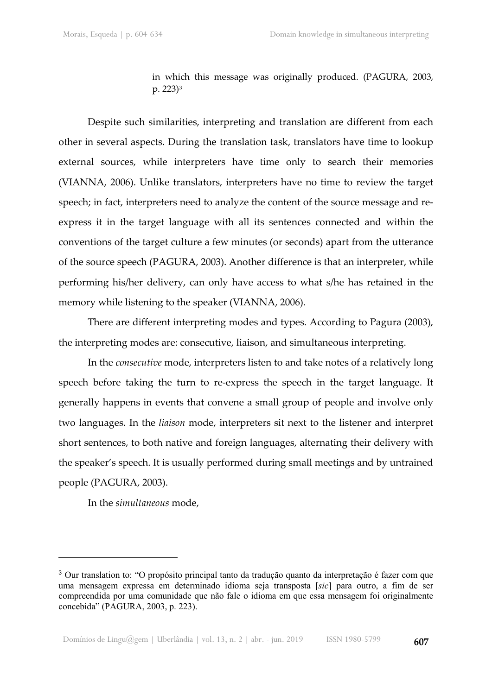in which this message was originally produced. (PAGURA, 2003, p. 223)[3](#page-3-0)

Despite such similarities, interpreting and translation are different from each other in several aspects. During the translation task, translators have time to lookup external sources, while interpreters have time only to search their memories (VIANNA, 2006). Unlike translators, interpreters have no time to review the target speech; in fact, interpreters need to analyze the content of the source message and reexpress it in the target language with all its sentences connected and within the conventions of the target culture a few minutes (or seconds) apart from the utterance of the source speech (PAGURA, 2003). Another difference is that an interpreter, while performing his/her delivery, can only have access to what s/he has retained in the memory while listening to the speaker (VIANNA, 2006).

There are different interpreting modes and types. According to Pagura (2003), the interpreting modes are: consecutive, liaison, and simultaneous interpreting.

In the *consecutive* mode, interpreters listen to and take notes of a relatively long speech before taking the turn to re-express the speech in the target language. It generally happens in events that convene a small group of people and involve only two languages. In the *liaison* mode, interpreters sit next to the listener and interpret short sentences, to both native and foreign languages, alternating their delivery with the speaker's speech. It is usually performed during small meetings and by untrained people (PAGURA, 2003).

In the *simultaneous* mode,

<u>.</u>

<span id="page-3-0"></span><sup>3</sup> Our translation to: "O propósito principal tanto da tradução quanto da interpretação é fazer com que uma mensagem expressa em determinado idioma seja transposta [*sic*] para outro, a fim de ser compreendida por uma comunidade que não fale o idioma em que essa mensagem foi originalmente concebida" (PAGURA, 2003, p. 223).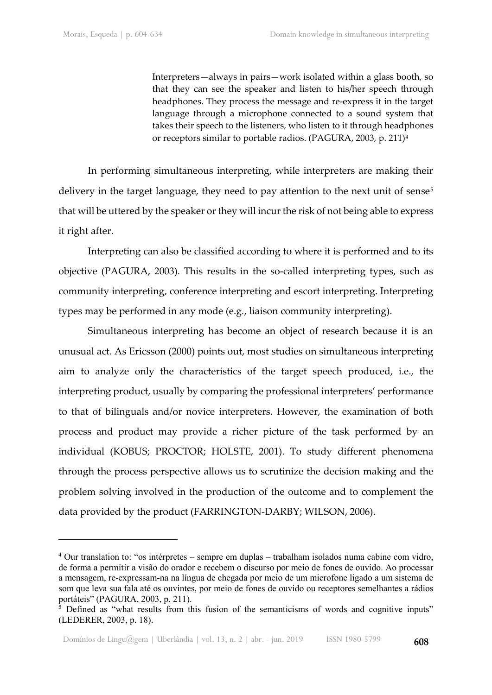Interpreters—always in pairs—work isolated within a glass booth, so that they can see the speaker and listen to his/her speech through headphones. They process the message and re-express it in the target language through a microphone connected to a sound system that takes their speech to the listeners, who listen to it through headphones or receptors similar to portable radios. (PAGURA, 2003, p. 211)[4](#page-4-0)

In performing simultaneous interpreting, while interpreters are making their delivery in the target language, they need to pay attention to the next unit of sense<sup>[5](#page-4-1)</sup> that will be uttered by the speaker or they will incur the risk of not being able to express it right after.

Interpreting can also be classified according to where it is performed and to its objective (PAGURA, 2003). This results in the so-called interpreting types, such as community interpreting, conference interpreting and escort interpreting. Interpreting types may be performed in any mode (e.g*.*, liaison community interpreting).

Simultaneous interpreting has become an object of research because it is an unusual act. As Ericsson (2000) points out, most studies on simultaneous interpreting aim to analyze only the characteristics of the target speech produced, i.e., the interpreting product, usually by comparing the professional interpreters' performance to that of bilinguals and/or novice interpreters. However, the examination of both process and product may provide a richer picture of the task performed by an individual (KOBUS; PROCTOR; HOLSTE, 2001). To study different phenomena through the process perspective allows us to scrutinize the decision making and the problem solving involved in the production of the outcome and to complement the data provided by the product (FARRINGTON-DARBY; WILSON, 2006).

<span id="page-4-0"></span><sup>4</sup> Our translation to: "os intérpretes – sempre em duplas – trabalham isolados numa cabine com vidro, de forma a permitir a visão do orador e recebem o discurso por meio de fones de ouvido. Ao processar a mensagem, re-expressam-na na língua de chegada por meio de um microfone ligado a um sistema de som que leva sua fala até os ouvintes, por meio de fones de ouvido ou receptores semelhantes a rádios portáteis" (PAGURA, 2003, p. 211).

<span id="page-4-1"></span><sup>&</sup>lt;sup>5</sup> Defined as "what results from this fusion of the semanticisms of words and cognitive inputs" (LEDERER, 2003, p. 18).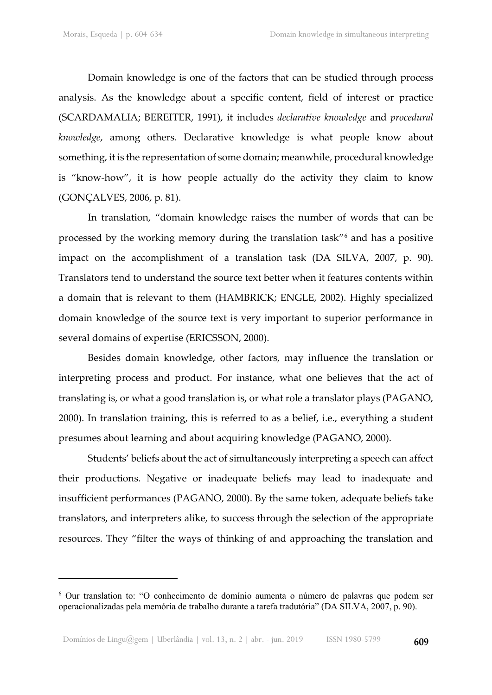Domain knowledge is one of the factors that can be studied through process analysis. As the knowledge about a specific content, field of interest or practice (SCARDAMALIA; BEREITER, 1991), it includes *declarative knowledge* and *procedural knowledge*, among others. Declarative knowledge is what people know about something, it is the representation of some domain; meanwhile, procedural knowledge is "know-how", it is how people actually do the activity they claim to know (GONÇALVES, 2006, p. 81).

In translation, "domain knowledge raises the number of words that can be processed by the working memory during the translation task"[6](#page-5-0) and has a positive impact on the accomplishment of a translation task (DA SILVA, 2007, p. 90). Translators tend to understand the source text better when it features contents within a domain that is relevant to them (HAMBRICK; ENGLE, 2002). Highly specialized domain knowledge of the source text is very important to superior performance in several domains of expertise (ERICSSON, 2000).

Besides domain knowledge, other factors, may influence the translation or interpreting process and product. For instance, what one believes that the act of translating is, or what a good translation is, or what role a translator plays (PAGANO, 2000). In translation training, this is referred to as a belief, i.e., everything a student presumes about learning and about acquiring knowledge (PAGANO, 2000).

Students' beliefs about the act of simultaneously interpreting a speech can affect their productions. Negative or inadequate beliefs may lead to inadequate and insufficient performances (PAGANO, 2000). By the same token, adequate beliefs take translators, and interpreters alike, to success through the selection of the appropriate resources. They "filter the ways of thinking of and approaching the translation and

<span id="page-5-0"></span><sup>6</sup> Our translation to: "O conhecimento de domínio aumenta o número de palavras que podem ser operacionalizadas pela memória de trabalho durante a tarefa tradutória" (DA SILVA, 2007, p. 90).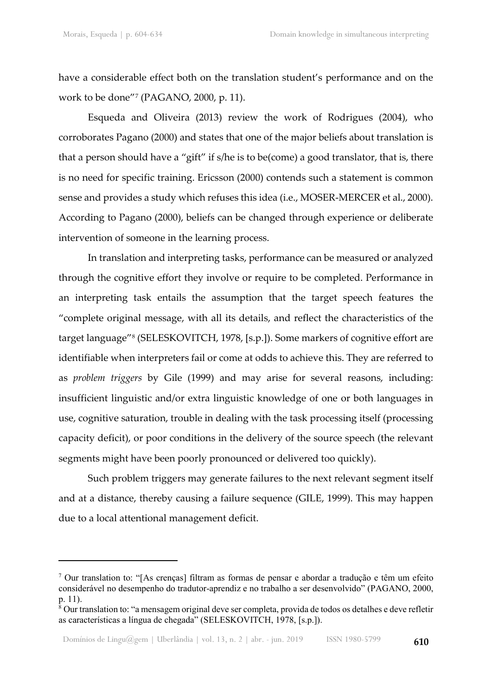have a considerable effect both on the translation student's performance and on the work to be done"[7](#page-6-0) (PAGANO, 2000, p. 11).

Esqueda and Oliveira (2013) review the work of Rodrigues (2004), who corroborates Pagano (2000) and states that one of the major beliefs about translation is that a person should have a "gift" if s/he is to be(come) a good translator, that is, there is no need for specific training. Ericsson (2000) contends such a statement is common sense and provides a study which refuses this idea (i.e., MOSER-MERCER et al., 2000). According to Pagano (2000), beliefs can be changed through experience or deliberate intervention of someone in the learning process.

In translation and interpreting tasks, performance can be measured or analyzed through the cognitive effort they involve or require to be completed. Performance in an interpreting task entails the assumption that the target speech features the "complete original message, with all its details, and reflect the characteristics of the target language"[8](#page-6-1) (SELESKOVITCH, 1978, [s.p.]). Some markers of cognitive effort are identifiable when interpreters fail or come at odds to achieve this. They are referred to as *problem triggers* by Gile (1999) and may arise for several reasons, including: insufficient linguistic and/or extra linguistic knowledge of one or both languages in use, cognitive saturation, trouble in dealing with the task processing itself (processing capacity deficit), or poor conditions in the delivery of the source speech (the relevant segments might have been poorly pronounced or delivered too quickly).

Such problem triggers may generate failures to the next relevant segment itself and at a distance, thereby causing a failure sequence (GILE, 1999). This may happen due to a local attentional management deficit.

<span id="page-6-0"></span><sup>7</sup> Our translation to: "[As crenças] filtram as formas de pensar e abordar a tradução e têm um efeito considerável no desempenho do tradutor-aprendiz e no trabalho a ser desenvolvido" (PAGANO, 2000, p. 11).

<span id="page-6-1"></span> $\frac{1}{8}$  Our translation to: "a mensagem original deve ser completa, provida de todos os detalhes e deve refletir as características a língua de chegada" (SELESKOVITCH, 1978, [s.p.]).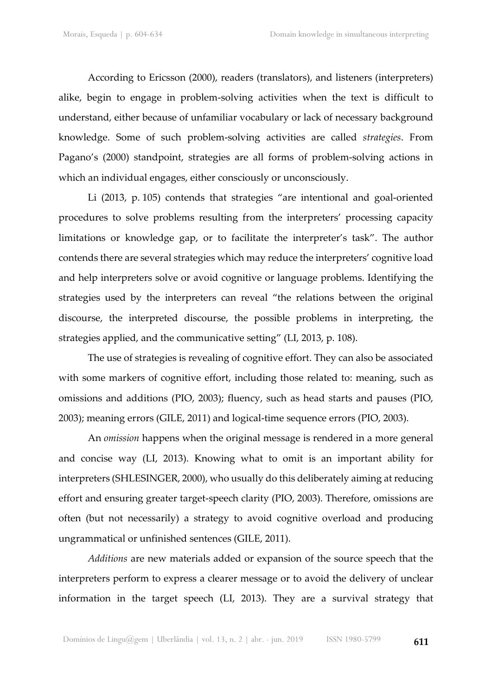According to Ericsson (2000), readers (translators), and listeners (interpreters) alike, begin to engage in problem-solving activities when the text is difficult to understand, either because of unfamiliar vocabulary or lack of necessary background knowledge. Some of such problem-solving activities are called *strategies*. From Pagano's (2000) standpoint, strategies are all forms of problem-solving actions in which an individual engages, either consciously or unconsciously.

Li (2013, p. 105) contends that strategies "are intentional and goal-oriented procedures to solve problems resulting from the interpreters' processing capacity limitations or knowledge gap, or to facilitate the interpreter's task". The author contends there are several strategies which may reduce the interpreters' cognitive load and help interpreters solve or avoid cognitive or language problems. Identifying the strategies used by the interpreters can reveal "the relations between the original discourse, the interpreted discourse, the possible problems in interpreting, the strategies applied, and the communicative setting" (LI, 2013, p. 108).

The use of strategies is revealing of cognitive effort. They can also be associated with some markers of cognitive effort, including those related to: meaning, such as omissions and additions (PIO, 2003); fluency, such as head starts and pauses (PIO, 2003); meaning errors (GILE, 2011) and logical-time sequence errors (PIO, 2003).

An *omission* happens when the original message is rendered in a more general and concise way (LI, 2013). Knowing what to omit is an important ability for interpreters (SHLESINGER, 2000), who usually do this deliberately aiming at reducing effort and ensuring greater target-speech clarity (PIO, 2003). Therefore, omissions are often (but not necessarily) a strategy to avoid cognitive overload and producing ungrammatical or unfinished sentences (GILE, 2011).

*Additions* are new materials added or expansion of the source speech that the interpreters perform to express a clearer message or to avoid the delivery of unclear information in the target speech (LI, 2013). They are a survival strategy that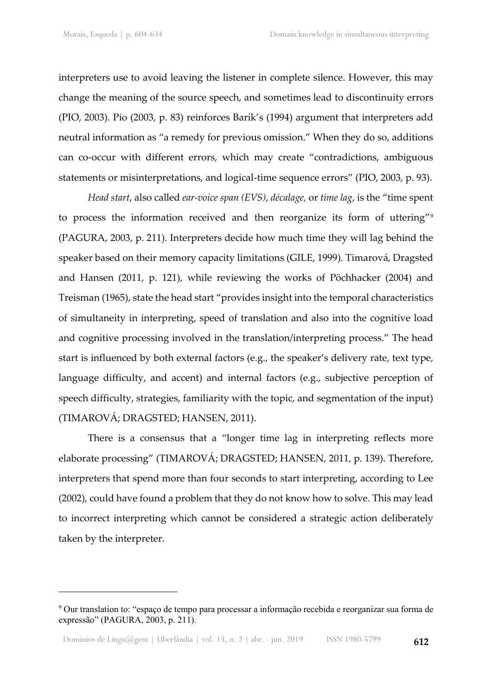interpreters use to avoid leaving the listener in complete silence. However, this may change the meaning of the source speech, and sometimes lead to discontinuity errors (PIO, 2003). Pio (2003, p. 83) reinforces Barik's (1994) argument that interpreters add neutral information as "a remedy for previous omission." When they do so, additions can co-occur with different errors, which may create "contradictions, ambiguous statements or misinterpretations, and logical-time sequence errors" (PIO, 2003, p. 93).

*Head start*, also called *ear-voice span (EVS)*, *décalage,* or *time lag*, is the "time spent to process the information received and then reorganize its form of uttering"<sup>[9](#page-8-0)</sup> (PAGURA, 2003, p. 211). Interpreters decide how much time they will lag behind the speaker based on their memory capacity limitations (GILE, 1999). Timarová, Dragsted and Hansen (2011, p. 121), while reviewing the works of Pöchhacker (2004) and Treisman (1965), state the head start "provides insight into the temporal characteristics of simultaneity in interpreting, speed of translation and also into the cognitive load and cognitive processing involved in the translation/interpreting process." The head start is influenced by both external factors (e.g., the speaker's delivery rate, text type, language difficulty, and accent) and internal factors (e.g., subjective perception of speech difficulty, strategies, familiarity with the topic, and segmentation of the input) (TIMAROVÁ; DRAGSTED; HANSEN, 2011).

There is a consensus that a "longer time lag in interpreting reflects more elaborate processing" (TIMAROVÁ; DRAGSTED; HANSEN, 2011, p. 139). Therefore, interpreters that spend more than four seconds to start interpreting, according to Lee (2002), could have found a problem that they do not know how to solve. This may lead to incorrect interpreting which cannot be considered a strategic action deliberately taken by the interpreter.

<span id="page-8-0"></span><sup>9</sup> Our translation to: "espaço de tempo para processar a informação recebida e reorganizar sua forma de expressão" (PAGURA, 2003, p. 211).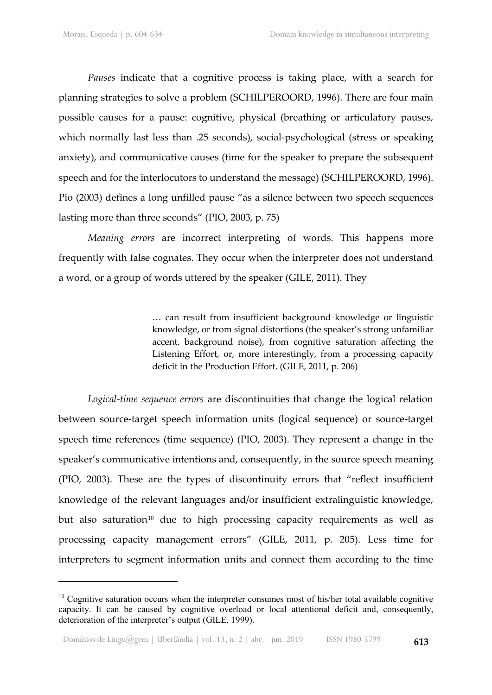*Pauses* indicate that a cognitive process is taking place, with a search for planning strategies to solve a problem (SCHILPEROORD, 1996). There are four main possible causes for a pause: cognitive, physical (breathing or articulatory pauses, which normally last less than .25 seconds), social-psychological (stress or speaking anxiety), and communicative causes (time for the speaker to prepare the subsequent speech and for the interlocutors to understand the message) (SCHILPEROORD, 1996). Pio (2003) defines a long unfilled pause "as a silence between two speech sequences lasting more than three seconds" (PIO, 2003, p. 75)

*Meaning errors* are incorrect interpreting of words. This happens more frequently with false cognates. They occur when the interpreter does not understand a word, or a group of words uttered by the speaker (GILE, 2011). They

> … can result from insufficient background knowledge or linguistic knowledge, or from signal distortions (the speaker's strong unfamiliar accent, background noise), from cognitive saturation affecting the Listening Effort, or, more interestingly, from a processing capacity deficit in the Production Effort. (GILE, 2011, p. 206)

*Logical-time sequence errors* are discontinuities that change the logical relation between source-target speech information units (logical sequence) or source-target speech time references (time sequence) (PIO, 2003). They represent a change in the speaker's communicative intentions and, consequently, in the source speech meaning (PIO, 2003). These are the types of discontinuity errors that "reflect insufficient knowledge of the relevant languages and/or insufficient extralinguistic knowledge, but also saturation<sup>[10](#page-9-0)</sup> due to high processing capacity requirements as well as processing capacity management errors" (GILE, 2011, p. 205). Less time for interpreters to segment information units and connect them according to the time

<span id="page-9-0"></span><sup>&</sup>lt;sup>10</sup> Cognitive saturation occurs when the interpreter consumes most of his/her total available cognitive capacity. It can be caused by cognitive overload or local attentional deficit and, consequently, deterioration of the interpreter's output (GILE, 1999).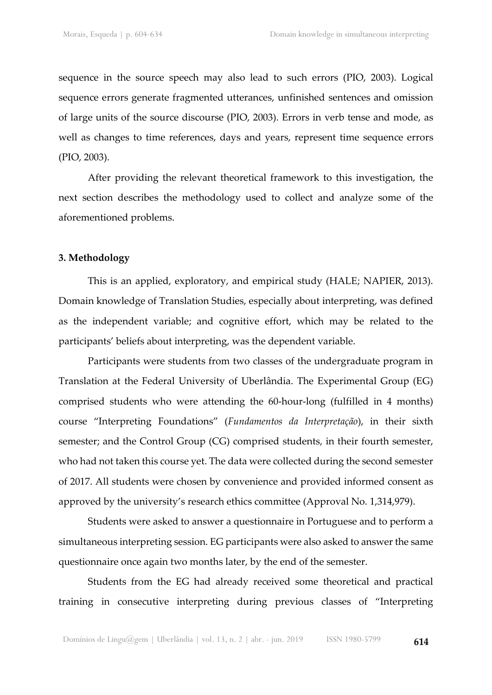sequence in the source speech may also lead to such errors (PIO, 2003). Logical sequence errors generate fragmented utterances, unfinished sentences and omission of large units of the source discourse (PIO, 2003). Errors in verb tense and mode, as well as changes to time references, days and years, represent time sequence errors (PIO, 2003).

After providing the relevant theoretical framework to this investigation, the next section describes the methodology used to collect and analyze some of the aforementioned problems.

## **3. Methodology**

This is an applied, exploratory, and empirical study (HALE; NAPIER, 2013). Domain knowledge of Translation Studies, especially about interpreting, was defined as the independent variable; and cognitive effort, which may be related to the participants' beliefs about interpreting, was the dependent variable.

Participants were students from two classes of the undergraduate program in Translation at the Federal University of Uberlândia. The Experimental Group (EG) comprised students who were attending the 60-hour-long (fulfilled in 4 months) course "Interpreting Foundations" (*Fundamentos da Interpretação*), in their sixth semester; and the Control Group (CG) comprised students, in their fourth semester, who had not taken this course yet. The data were collected during the second semester of 2017. All students were chosen by convenience and provided informed consent as approved by the university's research ethics committee (Approval No. 1,314,979).

Students were asked to answer a questionnaire in Portuguese and to perform a simultaneous interpreting session. EG participants were also asked to answer the same questionnaire once again two months later, by the end of the semester.

Students from the EG had already received some theoretical and practical training in consecutive interpreting during previous classes of "Interpreting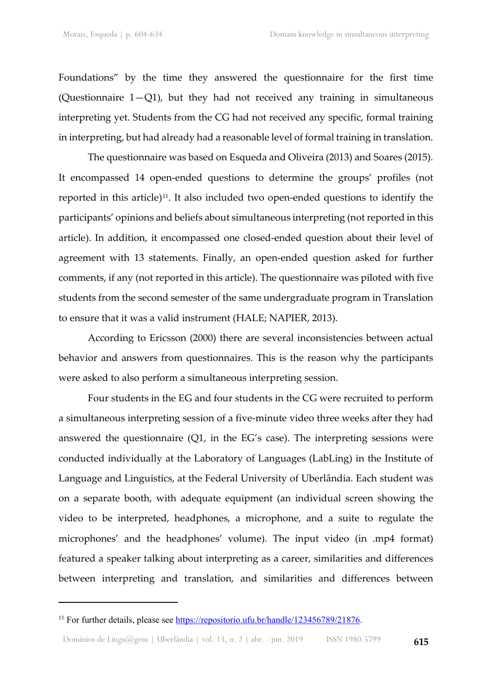Foundations" by the time they answered the questionnaire for the first time (Questionnaire  $1-Q1$ ), but they had not received any training in simultaneous interpreting yet. Students from the CG had not received any specific, formal training in interpreting, but had already had a reasonable level of formal training in translation.

The questionnaire was based on Esqueda and Oliveira (2013) and Soares (2015). It encompassed 14 open-ended questions to determine the groups' profiles (not reported in this article) $11$ . It also included two open-ended questions to identify the participants' opinions and beliefs about simultaneous interpreting (not reported in this article). In addition, it encompassed one closed-ended question about their level of agreement with 13 statements. Finally, an open-ended question asked for further comments, if any (not reported in this article). The questionnaire was piloted with five students from the second semester of the same undergraduate program in Translation to ensure that it was a valid instrument (HALE; NAPIER, 2013).

According to Ericsson (2000) there are several inconsistencies between actual behavior and answers from questionnaires. This is the reason why the participants were asked to also perform a simultaneous interpreting session.

Four students in the EG and four students in the CG were recruited to perform a simultaneous interpreting session of a five-minute video three weeks after they had answered the questionnaire (Q1, in the EG's case). The interpreting sessions were conducted individually at the Laboratory of Languages (LabLing) in the Institute of Language and Linguistics, at the Federal University of Uberlândia. Each student was on a separate booth, with adequate equipment (an individual screen showing the video to be interpreted, headphones, a microphone, and a suite to regulate the microphones' and the headphones' volume). The input video (in .mp4 format) featured a speaker talking about interpreting as a career, similarities and differences between interpreting and translation, and similarities and differences between

<u>.</u>

<span id="page-11-0"></span><sup>&</sup>lt;sup>11</sup> For further details, please see [https://repositorio.ufu.br/handle/123456789/21876.](https://repositorio.ufu.br/handle/123456789/21876)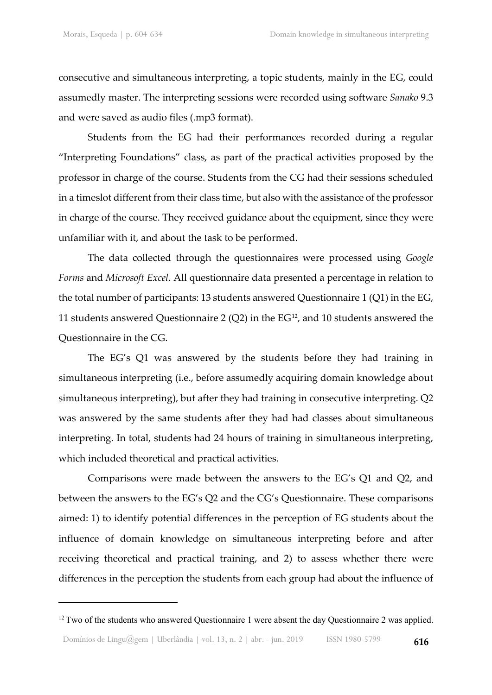consecutive and simultaneous interpreting, a topic students, mainly in the EG, could assumedly master. The interpreting sessions were recorded using software *Sanako* 9.3 and were saved as audio files (.mp3 format).

Students from the EG had their performances recorded during a regular "Interpreting Foundations" class, as part of the practical activities proposed by the professor in charge of the course. Students from the CG had their sessions scheduled in a timeslot different from their class time, but also with the assistance of the professor in charge of the course. They received guidance about the equipment, since they were unfamiliar with it, and about the task to be performed.

The data collected through the questionnaires were processed using *Google Forms* and *Microsoft Excel*. All questionnaire data presented a percentage in relation to the total number of participants: 13 students answered Questionnaire 1 (Q1) in the EG, 11 students answered Questionnaire 2 (Q2) in the EG<sup>[12](#page-12-0)</sup>, and 10 students answered the Questionnaire in the CG.

The EG's Q1 was answered by the students before they had training in simultaneous interpreting (i.e., before assumedly acquiring domain knowledge about simultaneous interpreting), but after they had training in consecutive interpreting. Q2 was answered by the same students after they had had classes about simultaneous interpreting. In total, students had 24 hours of training in simultaneous interpreting, which included theoretical and practical activities.

Comparisons were made between the answers to the EG's Q1 and Q2, and between the answers to the EG's Q2 and the CG's Questionnaire. These comparisons aimed: 1) to identify potential differences in the perception of EG students about the influence of domain knowledge on simultaneous interpreting before and after receiving theoretical and practical training, and 2) to assess whether there were differences in the perception the students from each group had about the influence of

<span id="page-12-0"></span> $12$  Two of the students who answered Questionnaire 1 were absent the day Questionnaire 2 was applied.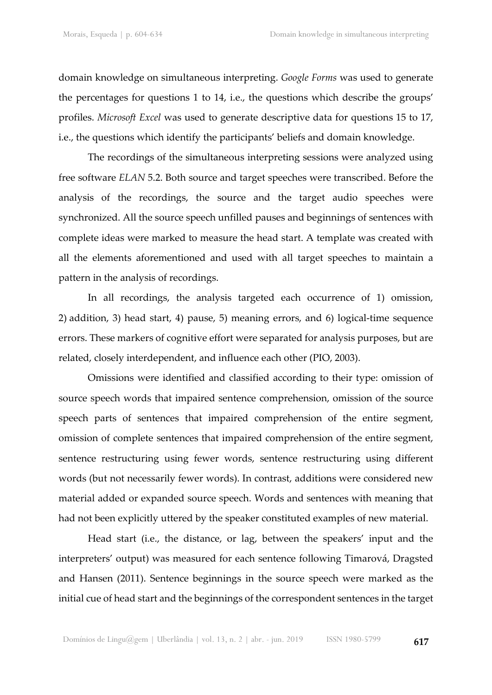domain knowledge on simultaneous interpreting. *Google Forms* was used to generate the percentages for questions 1 to 14, i.e., the questions which describe the groups' profiles. *Microsoft Excel* was used to generate descriptive data for questions 15 to 17, i.e., the questions which identify the participants' beliefs and domain knowledge.

The recordings of the simultaneous interpreting sessions were analyzed using free software *ELAN* 5.2. Both source and target speeches were transcribed. Before the analysis of the recordings, the source and the target audio speeches were synchronized. All the source speech unfilled pauses and beginnings of sentences with complete ideas were marked to measure the head start. A template was created with all the elements aforementioned and used with all target speeches to maintain a pattern in the analysis of recordings.

In all recordings, the analysis targeted each occurrence of 1) omission, 2) addition, 3) head start, 4) pause, 5) meaning errors, and 6) logical-time sequence errors. These markers of cognitive effort were separated for analysis purposes, but are related, closely interdependent, and influence each other (PIO, 2003).

Omissions were identified and classified according to their type: omission of source speech words that impaired sentence comprehension, omission of the source speech parts of sentences that impaired comprehension of the entire segment, omission of complete sentences that impaired comprehension of the entire segment, sentence restructuring using fewer words, sentence restructuring using different words (but not necessarily fewer words). In contrast, additions were considered new material added or expanded source speech. Words and sentences with meaning that had not been explicitly uttered by the speaker constituted examples of new material.

Head start (i.e., the distance, or lag, between the speakers' input and the interpreters' output) was measured for each sentence following Timarová, Dragsted and Hansen (2011). Sentence beginnings in the source speech were marked as the initial cue of head start and the beginnings of the correspondent sentences in the target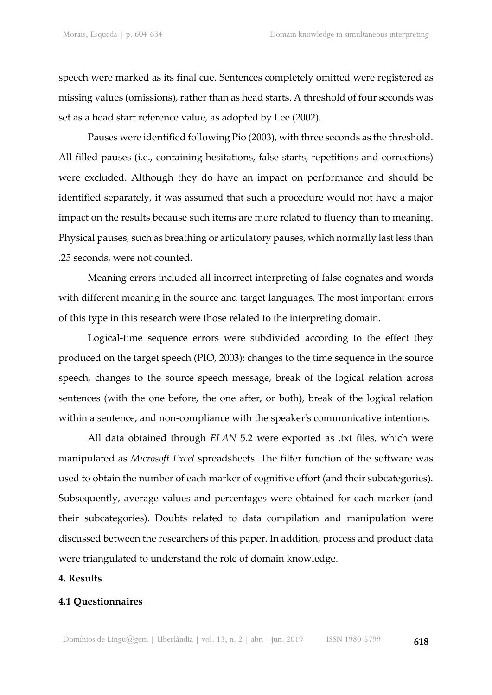speech were marked as its final cue. Sentences completely omitted were registered as missing values (omissions), rather than as head starts. A threshold of four seconds was set as a head start reference value, as adopted by Lee (2002).

Pauses were identified following Pio (2003), with three seconds as the threshold. All filled pauses (i.e., containing hesitations, false starts, repetitions and corrections) were excluded. Although they do have an impact on performance and should be identified separately, it was assumed that such a procedure would not have a major impact on the results because such items are more related to fluency than to meaning. Physical pauses, such as breathing or articulatory pauses, which normally last less than .25 seconds, were not counted.

Meaning errors included all incorrect interpreting of false cognates and words with different meaning in the source and target languages. The most important errors of this type in this research were those related to the interpreting domain.

Logical-time sequence errors were subdivided according to the effect they produced on the target speech (PIO, 2003): changes to the time sequence in the source speech, changes to the source speech message, break of the logical relation across sentences (with the one before, the one after, or both), break of the logical relation within a sentence, and non-compliance with the speaker's communicative intentions.

All data obtained through *ELAN* 5.2 were exported as .txt files, which were manipulated as *Microsoft Excel* spreadsheets. The filter function of the software was used to obtain the number of each marker of cognitive effort (and their subcategories). Subsequently, average values and percentages were obtained for each marker (and their subcategories). Doubts related to data compilation and manipulation were discussed between the researchers of this paper. In addition, process and product data were triangulated to understand the role of domain knowledge.

## **4. Results**

#### **4.1 Questionnaires**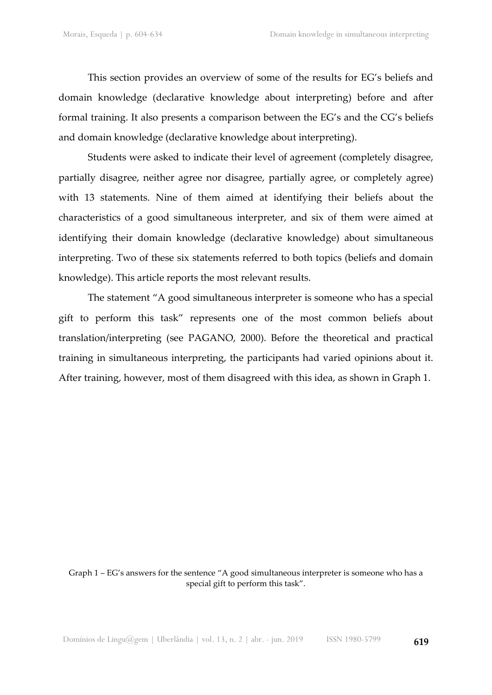This section provides an overview of some of the results for EG's beliefs and domain knowledge (declarative knowledge about interpreting) before and after formal training. It also presents a comparison between the EG's and the CG's beliefs and domain knowledge (declarative knowledge about interpreting).

Students were asked to indicate their level of agreement (completely disagree, partially disagree, neither agree nor disagree, partially agree, or completely agree) with 13 statements. Nine of them aimed at identifying their beliefs about the characteristics of a good simultaneous interpreter, and six of them were aimed at identifying their domain knowledge (declarative knowledge) about simultaneous interpreting. Two of these six statements referred to both topics (beliefs and domain knowledge). This article reports the most relevant results.

The statement "A good simultaneous interpreter is someone who has a special gift to perform this task" represents one of the most common beliefs about translation/interpreting (see PAGANO, 2000). Before the theoretical and practical training in simultaneous interpreting, the participants had varied opinions about it. After training, however, most of them disagreed with this idea, as shown in Graph 1.

Graph 1 – EG's answers for the sentence "A good simultaneous interpreter is someone who has a special gift to perform this task".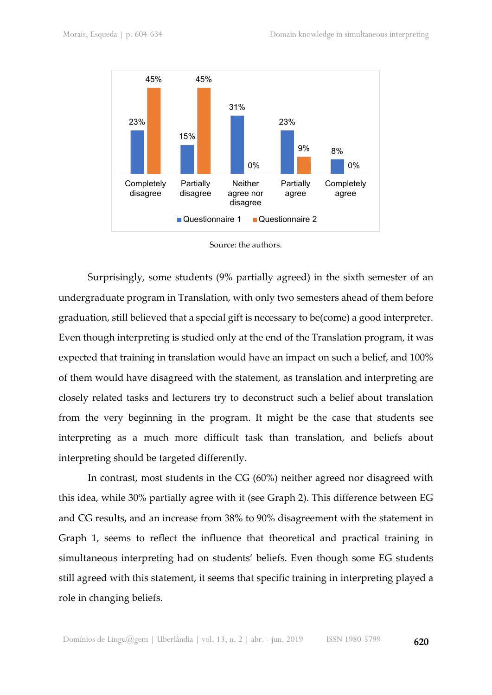

Source: the authors.

Surprisingly, some students (9% partially agreed) in the sixth semester of an undergraduate program in Translation, with only two semesters ahead of them before graduation, still believed that a special gift is necessary to be(come) a good interpreter. Even though interpreting is studied only at the end of the Translation program, it was expected that training in translation would have an impact on such a belief, and 100% of them would have disagreed with the statement, as translation and interpreting are closely related tasks and lecturers try to deconstruct such a belief about translation from the very beginning in the program. It might be the case that students see interpreting as a much more difficult task than translation, and beliefs about interpreting should be targeted differently.

In contrast, most students in the CG (60%) neither agreed nor disagreed with this idea, while 30% partially agree with it (see Graph 2). This difference between EG and CG results, and an increase from 38% to 90% disagreement with the statement in Graph 1, seems to reflect the influence that theoretical and practical training in simultaneous interpreting had on students' beliefs. Even though some EG students still agreed with this statement, it seems that specific training in interpreting played a role in changing beliefs.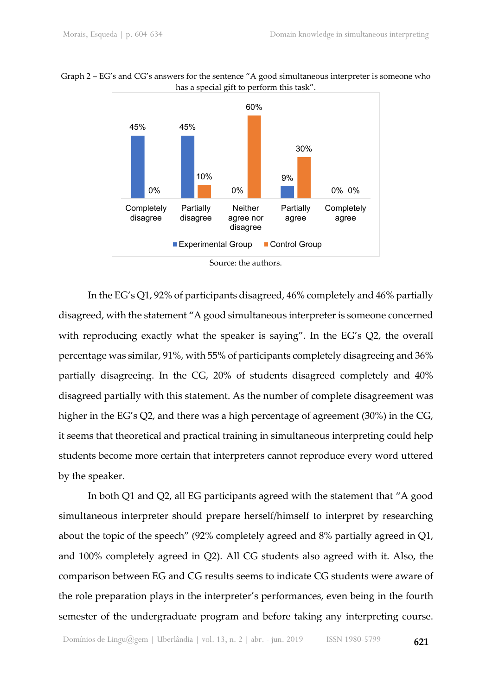



Source: the authors.

In the EG's Q1, 92% of participants disagreed, 46% completely and 46% partially disagreed, with the statement "A good simultaneous interpreter is someone concerned with reproducing exactly what the speaker is saying". In the EG's Q2, the overall percentage was similar, 91%, with 55% of participants completely disagreeing and 36% partially disagreeing. In the CG, 20% of students disagreed completely and 40% disagreed partially with this statement. As the number of complete disagreement was higher in the EG's Q2, and there was a high percentage of agreement (30%) in the CG, it seems that theoretical and practical training in simultaneous interpreting could help students become more certain that interpreters cannot reproduce every word uttered by the speaker.

In both Q1 and Q2, all EG participants agreed with the statement that "A good simultaneous interpreter should prepare herself/himself to interpret by researching about the topic of the speech" (92% completely agreed and 8% partially agreed in Q1, and 100% completely agreed in Q2). All CG students also agreed with it. Also, the comparison between EG and CG results seems to indicate CG students were aware of the role preparation plays in the interpreter's performances, even being in the fourth semester of the undergraduate program and before taking any interpreting course.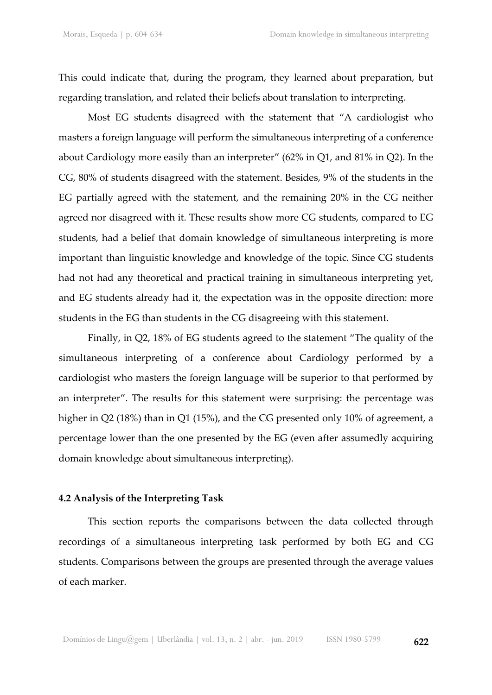This could indicate that, during the program, they learned about preparation, but regarding translation, and related their beliefs about translation to interpreting.

Most EG students disagreed with the statement that "A cardiologist who masters a foreign language will perform the simultaneous interpreting of a conference about Cardiology more easily than an interpreter" (62% in Q1, and 81% in Q2). In the CG, 80% of students disagreed with the statement. Besides, 9% of the students in the EG partially agreed with the statement, and the remaining 20% in the CG neither agreed nor disagreed with it. These results show more CG students, compared to EG students, had a belief that domain knowledge of simultaneous interpreting is more important than linguistic knowledge and knowledge of the topic. Since CG students had not had any theoretical and practical training in simultaneous interpreting yet, and EG students already had it, the expectation was in the opposite direction: more students in the EG than students in the CG disagreeing with this statement.

Finally, in Q2, 18% of EG students agreed to the statement "The quality of the simultaneous interpreting of a conference about Cardiology performed by a cardiologist who masters the foreign language will be superior to that performed by an interpreter". The results for this statement were surprising: the percentage was higher in Q2 (18%) than in Q1 (15%), and the CG presented only 10% of agreement, a percentage lower than the one presented by the EG (even after assumedly acquiring domain knowledge about simultaneous interpreting).

### **4.2 Analysis of the Interpreting Task**

This section reports the comparisons between the data collected through recordings of a simultaneous interpreting task performed by both EG and CG students. Comparisons between the groups are presented through the average values of each marker.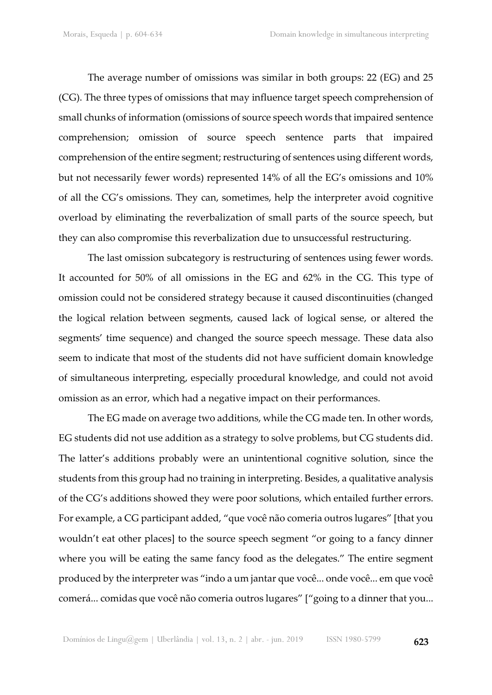The average number of omissions was similar in both groups: 22 (EG) and 25 (CG). The three types of omissions that may influence target speech comprehension of small chunks of information (omissions of source speech words that impaired sentence comprehension; omission of source speech sentence parts that impaired comprehension of the entire segment; restructuring of sentences using different words, but not necessarily fewer words) represented 14% of all the EG's omissions and 10% of all the CG's omissions. They can, sometimes, help the interpreter avoid cognitive overload by eliminating the reverbalization of small parts of the source speech, but they can also compromise this reverbalization due to unsuccessful restructuring.

The last omission subcategory is restructuring of sentences using fewer words. It accounted for 50% of all omissions in the EG and 62% in the CG. This type of omission could not be considered strategy because it caused discontinuities (changed the logical relation between segments, caused lack of logical sense, or altered the segments' time sequence) and changed the source speech message. These data also seem to indicate that most of the students did not have sufficient domain knowledge of simultaneous interpreting, especially procedural knowledge, and could not avoid omission as an error, which had a negative impact on their performances.

The EG made on average two additions, while the CG made ten. In other words, EG students did not use addition as a strategy to solve problems, but CG students did. The latter's additions probably were an unintentional cognitive solution, since the students from this group had no training in interpreting. Besides, a qualitative analysis of the CG's additions showed they were poor solutions, which entailed further errors. For example, a CG participant added, "que você não comeria outros lugares" [that you wouldn't eat other places] to the source speech segment "or going to a fancy dinner where you will be eating the same fancy food as the delegates." The entire segment produced by the interpreter was "indo a um jantar que você... onde você... em que você comerá... comidas que você não comeria outros lugares" ["going to a dinner that you...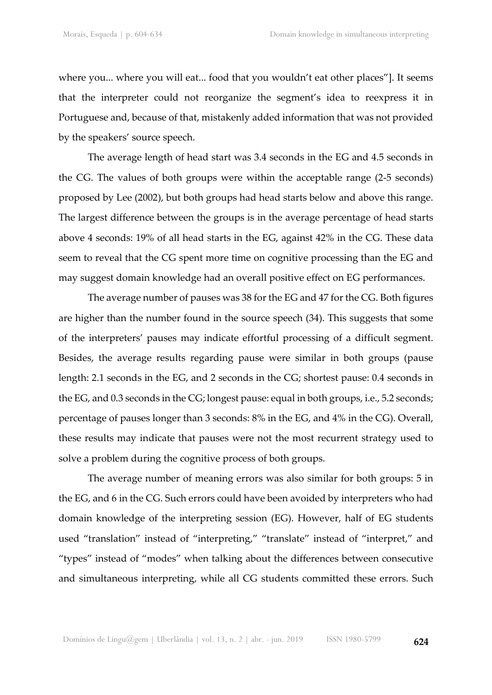where you... where you will eat... food that you wouldn't eat other places"]. It seems that the interpreter could not reorganize the segment's idea to reexpress it in Portuguese and, because of that, mistakenly added information that was not provided by the speakers' source speech.

The average length of head start was 3.4 seconds in the EG and 4.5 seconds in the CG. The values of both groups were within the acceptable range (2-5 seconds) proposed by Lee (2002), but both groups had head starts below and above this range. The largest difference between the groups is in the average percentage of head starts above 4 seconds: 19% of all head starts in the EG, against 42% in the CG. These data seem to reveal that the CG spent more time on cognitive processing than the EG and may suggest domain knowledge had an overall positive effect on EG performances.

The average number of pauses was 38 for the EG and 47 for the CG. Both figures are higher than the number found in the source speech (34). This suggests that some of the interpreters' pauses may indicate effortful processing of a difficult segment. Besides, the average results regarding pause were similar in both groups (pause length: 2.1 seconds in the EG, and 2 seconds in the CG; shortest pause: 0.4 seconds in the EG, and 0.3 seconds in the CG; longest pause: equal in both groups, i.e., 5.2 seconds; percentage of pauses longer than 3 seconds: 8% in the EG, and 4% in the CG). Overall, these results may indicate that pauses were not the most recurrent strategy used to solve a problem during the cognitive process of both groups.

The average number of meaning errors was also similar for both groups: 5 in the EG, and 6 in the CG. Such errors could have been avoided by interpreters who had domain knowledge of the interpreting session (EG). However, half of EG students used "translation" instead of "interpreting," "translate" instead of "interpret," and "types" instead of "modes" when talking about the differences between consecutive and simultaneous interpreting, while all CG students committed these errors. Such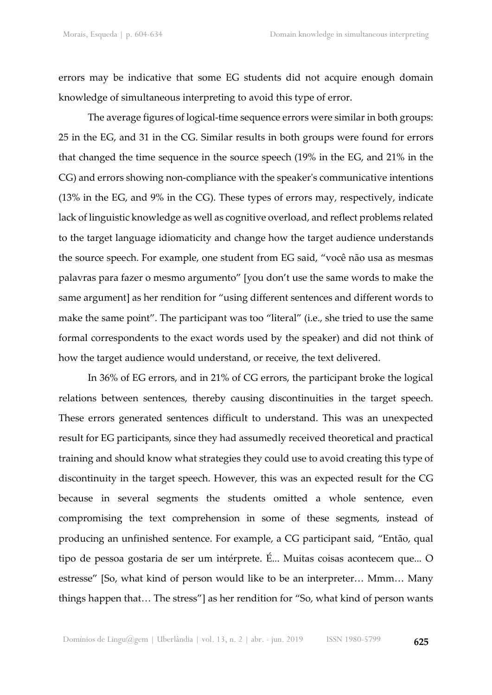errors may be indicative that some EG students did not acquire enough domain knowledge of simultaneous interpreting to avoid this type of error.

The average figures of logical-time sequence errors were similar in both groups: 25 in the EG, and 31 in the CG. Similar results in both groups were found for errors that changed the time sequence in the source speech (19% in the EG, and 21% in the CG) and errors showing non-compliance with the speaker's communicative intentions (13% in the EG, and 9% in the CG). These types of errors may, respectively, indicate lack of linguistic knowledge as well as cognitive overload, and reflect problems related to the target language idiomaticity and change how the target audience understands the source speech. For example, one student from EG said, "você não usa as mesmas palavras para fazer o mesmo argumento" [you don't use the same words to make the same argument] as her rendition for "using different sentences and different words to make the same point". The participant was too "literal" (i.e., she tried to use the same formal correspondents to the exact words used by the speaker) and did not think of how the target audience would understand, or receive, the text delivered.

In 36% of EG errors, and in 21% of CG errors, the participant broke the logical relations between sentences, thereby causing discontinuities in the target speech. These errors generated sentences difficult to understand. This was an unexpected result for EG participants, since they had assumedly received theoretical and practical training and should know what strategies they could use to avoid creating this type of discontinuity in the target speech. However, this was an expected result for the CG because in several segments the students omitted a whole sentence, even compromising the text comprehension in some of these segments, instead of producing an unfinished sentence. For example, a CG participant said, "Então, qual tipo de pessoa gostaria de ser um intérprete. É... Muitas coisas acontecem que... O estresse" [So, what kind of person would like to be an interpreter… Mmm… Many things happen that… The stress"] as her rendition for "So, what kind of person wants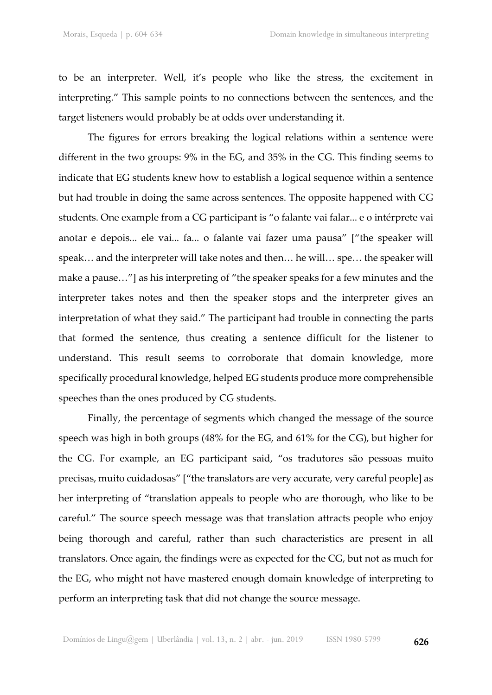to be an interpreter. Well, it's people who like the stress, the excitement in interpreting." This sample points to no connections between the sentences, and the target listeners would probably be at odds over understanding it.

The figures for errors breaking the logical relations within a sentence were different in the two groups: 9% in the EG, and 35% in the CG. This finding seems to indicate that EG students knew how to establish a logical sequence within a sentence but had trouble in doing the same across sentences. The opposite happened with CG students. One example from a CG participant is "o falante vai falar... e o intérprete vai anotar e depois... ele vai... fa... o falante vai fazer uma pausa" ["the speaker will speak… and the interpreter will take notes and then… he will… spe… the speaker will make a pause…"] as his interpreting of "the speaker speaks for a few minutes and the interpreter takes notes and then the speaker stops and the interpreter gives an interpretation of what they said." The participant had trouble in connecting the parts that formed the sentence, thus creating a sentence difficult for the listener to understand. This result seems to corroborate that domain knowledge, more specifically procedural knowledge, helped EG students produce more comprehensible speeches than the ones produced by CG students.

Finally, the percentage of segments which changed the message of the source speech was high in both groups (48% for the EG, and 61% for the CG), but higher for the CG. For example, an EG participant said, "os tradutores são pessoas muito precisas, muito cuidadosas" ["the translators are very accurate, very careful people] as her interpreting of "translation appeals to people who are thorough, who like to be careful." The source speech message was that translation attracts people who enjoy being thorough and careful, rather than such characteristics are present in all translators. Once again, the findings were as expected for the CG, but not as much for the EG, who might not have mastered enough domain knowledge of interpreting to perform an interpreting task that did not change the source message.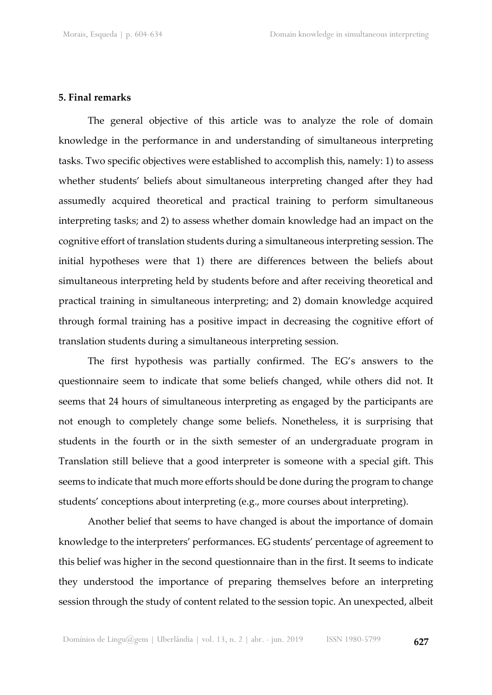#### **5. Final remarks**

The general objective of this article was to analyze the role of domain knowledge in the performance in and understanding of simultaneous interpreting tasks. Two specific objectives were established to accomplish this, namely: 1) to assess whether students' beliefs about simultaneous interpreting changed after they had assumedly acquired theoretical and practical training to perform simultaneous interpreting tasks; and 2) to assess whether domain knowledge had an impact on the cognitive effort of translation students during a simultaneous interpreting session. The initial hypotheses were that 1) there are differences between the beliefs about simultaneous interpreting held by students before and after receiving theoretical and practical training in simultaneous interpreting; and 2) domain knowledge acquired through formal training has a positive impact in decreasing the cognitive effort of translation students during a simultaneous interpreting session.

The first hypothesis was partially confirmed. The EG's answers to the questionnaire seem to indicate that some beliefs changed, while others did not. It seems that 24 hours of simultaneous interpreting as engaged by the participants are not enough to completely change some beliefs. Nonetheless, it is surprising that students in the fourth or in the sixth semester of an undergraduate program in Translation still believe that a good interpreter is someone with a special gift. This seems to indicate that much more efforts should be done during the program to change students' conceptions about interpreting (e.g., more courses about interpreting).

Another belief that seems to have changed is about the importance of domain knowledge to the interpreters' performances. EG students' percentage of agreement to this belief was higher in the second questionnaire than in the first. It seems to indicate they understood the importance of preparing themselves before an interpreting session through the study of content related to the session topic. An unexpected, albeit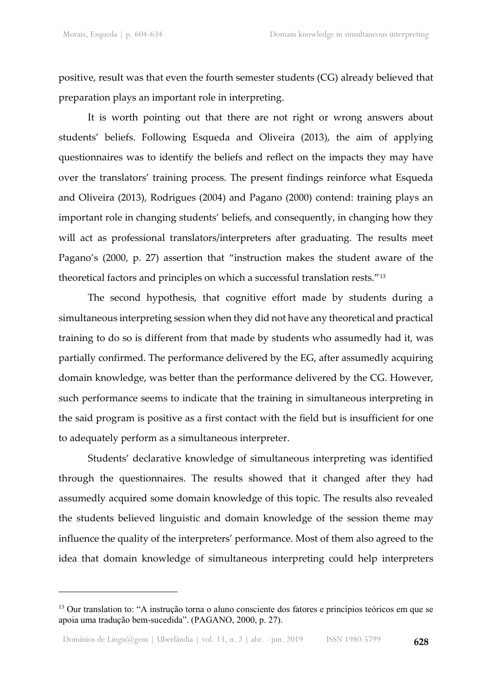positive, result was that even the fourth semester students (CG) already believed that preparation plays an important role in interpreting.

It is worth pointing out that there are not right or wrong answers about students' beliefs. Following Esqueda and Oliveira (2013), the aim of applying questionnaires was to identify the beliefs and reflect on the impacts they may have over the translators' training process. The present findings reinforce what Esqueda and Oliveira (2013), Rodrigues (2004) and Pagano (2000) contend: training plays an important role in changing students' beliefs, and consequently, in changing how they will act as professional translators/interpreters after graduating. The results meet Pagano's (2000, p. 27) assertion that "instruction makes the student aware of the theoretical factors and principles on which a successful translation rests."[13](#page-24-0)

The second hypothesis, that cognitive effort made by students during a simultaneous interpreting session when they did not have any theoretical and practical training to do so is different from that made by students who assumedly had it, was partially confirmed. The performance delivered by the EG, after assumedly acquiring domain knowledge, was better than the performance delivered by the CG. However, such performance seems to indicate that the training in simultaneous interpreting in the said program is positive as a first contact with the field but is insufficient for one to adequately perform as a simultaneous interpreter.

Students' declarative knowledge of simultaneous interpreting was identified through the questionnaires. The results showed that it changed after they had assumedly acquired some domain knowledge of this topic. The results also revealed the students believed linguistic and domain knowledge of the session theme may influence the quality of the interpreters' performance. Most of them also agreed to the idea that domain knowledge of simultaneous interpreting could help interpreters

<span id="page-24-0"></span><sup>&</sup>lt;sup>13</sup> Our translation to: "A instrução torna o aluno consciente dos fatores e princípios teóricos em que se apoia uma tradução bem-sucedida". (PAGANO, 2000, p. 27).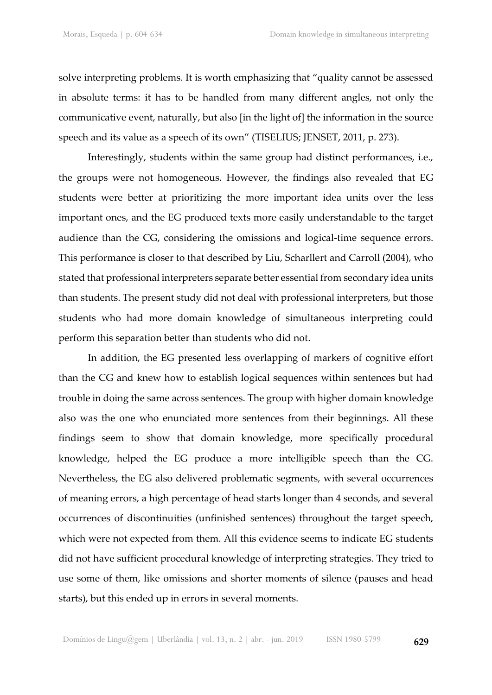solve interpreting problems. It is worth emphasizing that "quality cannot be assessed in absolute terms: it has to be handled from many different angles, not only the communicative event, naturally, but also [in the light of] the information in the source speech and its value as a speech of its own" (TISELIUS; JENSET, 2011, p. 273).

Interestingly, students within the same group had distinct performances, i.e., the groups were not homogeneous. However, the findings also revealed that EG students were better at prioritizing the more important idea units over the less important ones, and the EG produced texts more easily understandable to the target audience than the CG, considering the omissions and logical-time sequence errors. This performance is closer to that described by Liu, Scharllert and Carroll (2004), who stated that professional interpreters separate better essential from secondary idea units than students. The present study did not deal with professional interpreters, but those students who had more domain knowledge of simultaneous interpreting could perform this separation better than students who did not.

In addition, the EG presented less overlapping of markers of cognitive effort than the CG and knew how to establish logical sequences within sentences but had trouble in doing the same across sentences. The group with higher domain knowledge also was the one who enunciated more sentences from their beginnings. All these findings seem to show that domain knowledge, more specifically procedural knowledge, helped the EG produce a more intelligible speech than the CG. Nevertheless, the EG also delivered problematic segments, with several occurrences of meaning errors, a high percentage of head starts longer than 4 seconds, and several occurrences of discontinuities (unfinished sentences) throughout the target speech, which were not expected from them. All this evidence seems to indicate EG students did not have sufficient procedural knowledge of interpreting strategies. They tried to use some of them, like omissions and shorter moments of silence (pauses and head starts), but this ended up in errors in several moments.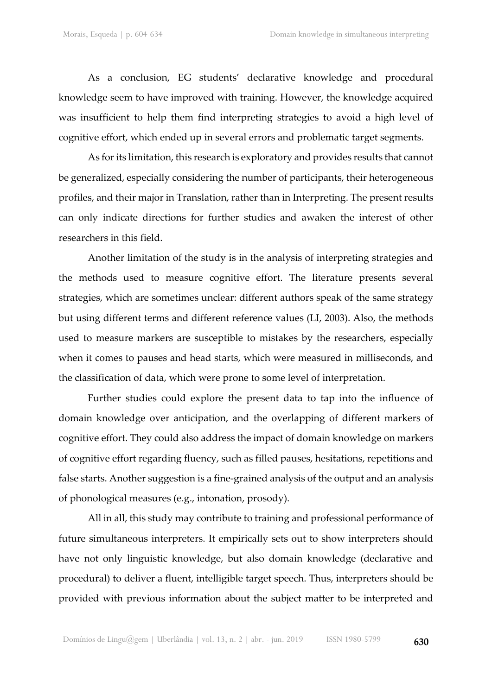As a conclusion, EG students' declarative knowledge and procedural knowledge seem to have improved with training. However, the knowledge acquired was insufficient to help them find interpreting strategies to avoid a high level of cognitive effort, which ended up in several errors and problematic target segments.

As for its limitation, this research is exploratory and provides results that cannot be generalized, especially considering the number of participants, their heterogeneous profiles, and their major in Translation, rather than in Interpreting. The present results can only indicate directions for further studies and awaken the interest of other researchers in this field.

Another limitation of the study is in the analysis of interpreting strategies and the methods used to measure cognitive effort. The literature presents several strategies, which are sometimes unclear: different authors speak of the same strategy but using different terms and different reference values (LI, 2003). Also, the methods used to measure markers are susceptible to mistakes by the researchers, especially when it comes to pauses and head starts, which were measured in milliseconds, and the classification of data, which were prone to some level of interpretation.

Further studies could explore the present data to tap into the influence of domain knowledge over anticipation, and the overlapping of different markers of cognitive effort. They could also address the impact of domain knowledge on markers of cognitive effort regarding fluency, such as filled pauses, hesitations, repetitions and false starts. Another suggestion is a fine-grained analysis of the output and an analysis of phonological measures (e.g., intonation, prosody).

All in all, this study may contribute to training and professional performance of future simultaneous interpreters. It empirically sets out to show interpreters should have not only linguistic knowledge, but also domain knowledge (declarative and procedural) to deliver a fluent, intelligible target speech. Thus, interpreters should be provided with previous information about the subject matter to be interpreted and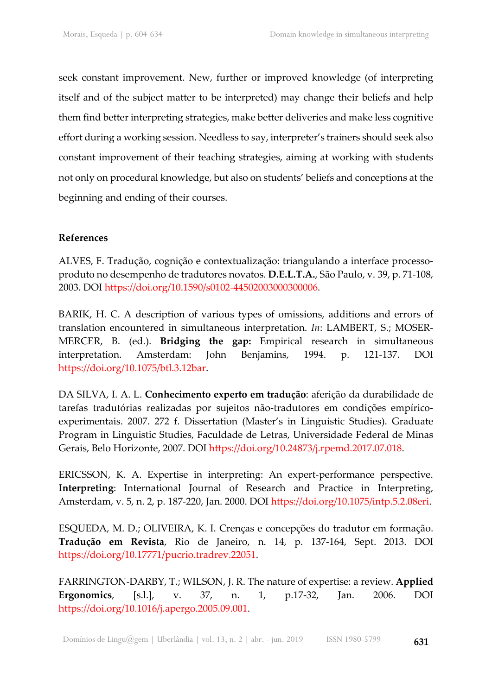seek constant improvement. New, further or improved knowledge (of interpreting itself and of the subject matter to be interpreted) may change their beliefs and help them find better interpreting strategies, make better deliveries and make less cognitive effort during a working session. Needless to say, interpreter's trainers should seek also constant improvement of their teaching strategies, aiming at working with students not only on procedural knowledge, but also on students' beliefs and conceptions at the beginning and ending of their courses.

## **References**

ALVES, F. Tradução, cognição e contextualização: triangulando a interface processoproduto no desempenho de tradutores novatos. **D.E.L.T.A.**, São Paulo, v. 39, p. 71-108, 2003. DOI [https://doi.org/10.1590/s0102-44502003000300006.](https://doi.org/10.1590/s0102-44502003000300006)

BARIK, H. C. A description of various types of omissions, additions and errors of translation encountered in simultaneous interpretation. *In*: LAMBERT, S.; MOSER-MERCER, B. (ed.). **Bridging the gap:** Empirical research in simultaneous interpretation. Amsterdam: John Benjamins, 1994. p. 121-137. DOI [https://doi.org/10.1075/btl.3.12bar.](https://doi.org/10.1075/btl.3.12bar)

DA SILVA, I. A. L. **Conhecimento experto em tradução**: aferição da durabilidade de tarefas tradutórias realizadas por sujeitos não-tradutores em condições empíricoexperimentais. 2007. 272 f. Dissertation (Master's in Linguistic Studies). Graduate Program in Linguistic Studies, Faculdade de Letras, Universidade Federal de Minas Gerais, Belo Horizonte, 2007. DOI [https://doi.org/10.24873/j.rpemd.2017.07.018.](https://doi.org/10.24873/j.rpemd.2017.07.018)

ERICSSON, K. A. Expertise in interpreting: An expert-performance perspective. **Interpreting**: International Journal of Research and Practice in Interpreting, Amsterdam, v. 5, n. 2, p. 187-220, Jan. 2000. DOI [https://doi.org/10.1075/intp.5.2.08eri.](https://doi.org/10.1075/intp.5.2.08eri)

ESQUEDA, M. D.; OLIVEIRA, K. I. Crenças e concepções do tradutor em formação. **Tradução em Revista**, Rio de Janeiro, n. 14, p. 137-164, Sept. 2013. DOI [https://doi.org/10.17771/pucrio.tradrev.22051.](https://doi.org/10.17771/pucrio.tradrev.22051)

FARRINGTON-DARBY, T.; WILSON, J. R. The nature of expertise: a review. **Applied Ergonomics**, [s.l.], v. 37, n. 1, p.17-32, Jan. 2006. DOI [https://doi.org/10.1016/j.apergo.2005.09.001.](https://doi.org/10.1016/j.apergo.2005.09.001)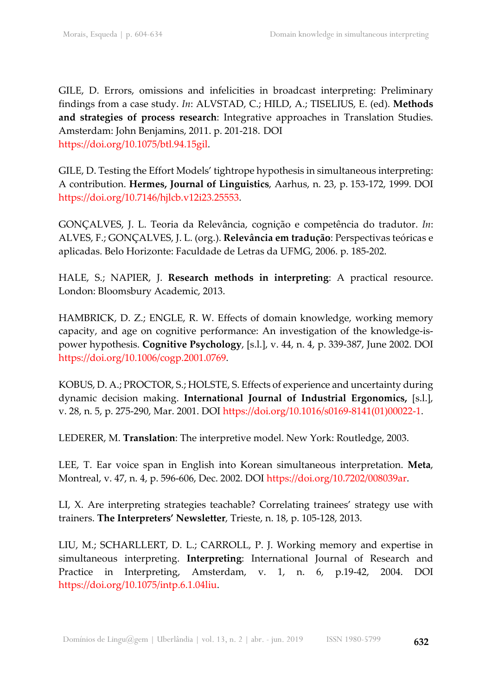GILE, D. Errors, omissions and infelicities in broadcast interpreting: Preliminary findings from a case study. *In*: ALVSTAD, C.; HILD, A.; TISELIUS, E. (ed). **Methods and strategies of process research**: Integrative approaches in Translation Studies. Amsterdam: John Benjamins, 2011. p. 201-218. DOI [https://doi.org/10.1075/btl.94.15gil.](https://doi.org/10.1075/btl.94.15gil)

GILE, D. Testing the Effort Models' tightrope hypothesis in simultaneous interpreting: A contribution. **Hermes, Journal of Linguistics**, Aarhus, n. 23, p. 153-172, 1999. DOI [https://doi.org/10.7146/hjlcb.v12i23.25553.](https://doi.org/10.7146/hjlcb.v12i23.25553)

GONÇALVES, J. L. Teoria da Relevância, cognição e competência do tradutor. *In*: ALVES, F.; GONÇALVES, J. L. (org.). **Relevância em tradução**: Perspectivas teóricas e aplicadas. Belo Horizonte: Faculdade de Letras da UFMG, 2006. p. 185-202.

HALE, S.; NAPIER, J. **Research methods in interpreting**: A practical resource. London: Bloomsbury Academic, 2013.

HAMBRICK, D. Z.; ENGLE, R. W. Effects of domain knowledge, working memory capacity, and age on cognitive performance: An investigation of the knowledge-ispower hypothesis. **Cognitive Psychology**, [s.l.], v. 44, n. 4, p. 339-387, June 2002. DOI [https://doi.org/10.1006/cogp.2001.0769.](https://doi.org/10.1006/cogp.2001.0769)

KOBUS, D. A.; PROCTOR, S.; HOLSTE, S. Effects of experience and uncertainty during dynamic decision making. **International Journal of Industrial Ergonomics,** [s.l.], v. 28, n. 5, p. 275-290, Mar. 2001. DOI [https://doi.org/10.1016/s0169-8141\(01\)00022-1.](https://doi.org/10.1016/s0169-8141(01)00022-1)

LEDERER, M. **Translation**: The interpretive model. New York: Routledge, 2003.

LEE, T. Ear voice span in English into Korean simultaneous interpretation. **Meta**, Montreal, v. 47, n. 4, p. 596-606, Dec. 2002. DOI [https://doi.org/10.7202/008039ar.](https://doi.org/10.7202/008039ar)

LI, X. Are interpreting strategies teachable? Correlating trainees' strategy use with trainers. **The Interpreters' Newsletter**, Trieste, n. 18, p. 105-128, 2013.

LIU, M.; SCHARLLERT, D. L.; CARROLL, P. J. Working memory and expertise in simultaneous interpreting. **Interpreting**: International Journal of Research and Practice in Interpreting, Amsterdam, v. 1, n. 6, p.19-42, 2004. DOI [https://doi.org/10.1075/intp.6.1.04liu.](https://doi.org/10.1075/intp.6.1.04liu)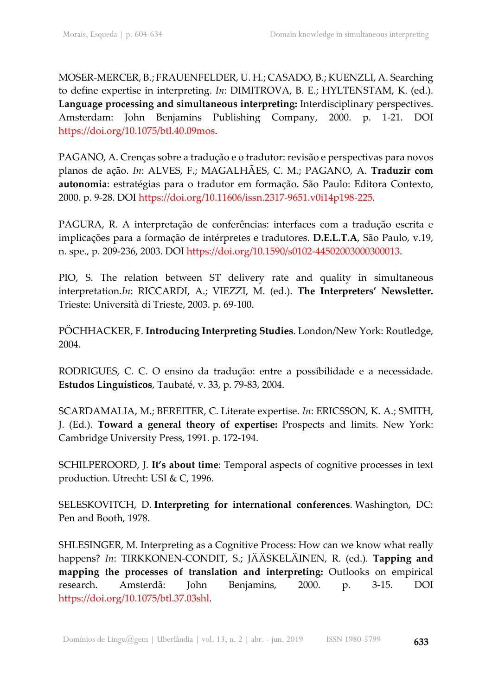MOSER-MERCER, B.; FRAUENFELDER, U. H.; CASADO, B.; KUENZLI, A. Searching to define expertise in interpreting. *In*: DIMITROVA, B. E.; HYLTENSTAM, K. (ed.). **Language processing and simultaneous interpreting:** Interdisciplinary perspectives. Amsterdam: John Benjamins Publishing Company, 2000. p. 1-21. DOI [https://doi.org/10.1075/btl.40.09mos.](https://doi.org/10.1075/btl.40.09mos)

PAGANO, A. Crenças sobre a tradução e o tradutor: revisão e perspectivas para novos planos de ação. *In*: ALVES, F.; MAGALHÃES, C. M.; PAGANO, A. **Traduzir com autonomia**: estratégias para o tradutor em formação. São Paulo: Editora Contexto, 2000. p. 9-28. DOI [https://doi.org/10.11606/issn.2317-9651.v0i14p198-225.](https://doi.org/10.11606/issn.2317-9651.v0i14p198-225)

PAGURA, R. A interpretação de conferências: interfaces com a tradução escrita e implicações para a formação de intérpretes e tradutores. **D.E.L.T.A**, São Paulo, v.19, n. spe., p. 209-236, 2003. DOI [https://doi.org/10.1590/s0102-44502003000300013.](https://doi.org/10.1590/s0102-44502003000300013)

PIO, S. The relation between ST delivery rate and quality in simultaneous interpretation.*In*: RICCARDI, A.; VIEZZI, M. (ed.). **The Interpreters' Newsletter.**  Trieste: Università di Trieste, 2003. p. 69-100.

PÖCHHACKER, F. **Introducing Interpreting Studies**. London/New York: Routledge, 2004.

RODRIGUES, C. C. O ensino da tradução: entre a possibilidade e a necessidade. **Estudos Linguísticos**, Taubaté, v. 33, p. 79-83, 2004.

SCARDAMALIA, M.; BEREITER, C. Literate expertise. *In*: ERICSSON, K. A.; SMITH, J. (Ed.). **Toward a general theory of expertise:** Prospects and limits. New York: Cambridge University Press, 1991. p. 172-194.

SCHILPEROORD, J. **It's about time**: Temporal aspects of cognitive processes in text production. Utrecht: USI & C, 1996.

SELESKOVITCH, D. **Interpreting for international conferences**. Washington, DC: Pen and Booth, 1978.

SHLESINGER, M. Interpreting as a Cognitive Process: How can we know what really happens? *In*: TIRKKONEN-CONDIT, S.; JÄÄSKELÄINEN, R. (ed.). **Tapping and mapping the processes of translation and interpreting:** Outlooks on empirical research. Amsterdã: John Benjamins, 2000. p. 3-15. DOI [https://doi.org/10.1075/btl.37.03shl.](https://doi.org/10.1075/btl.37.03shl)